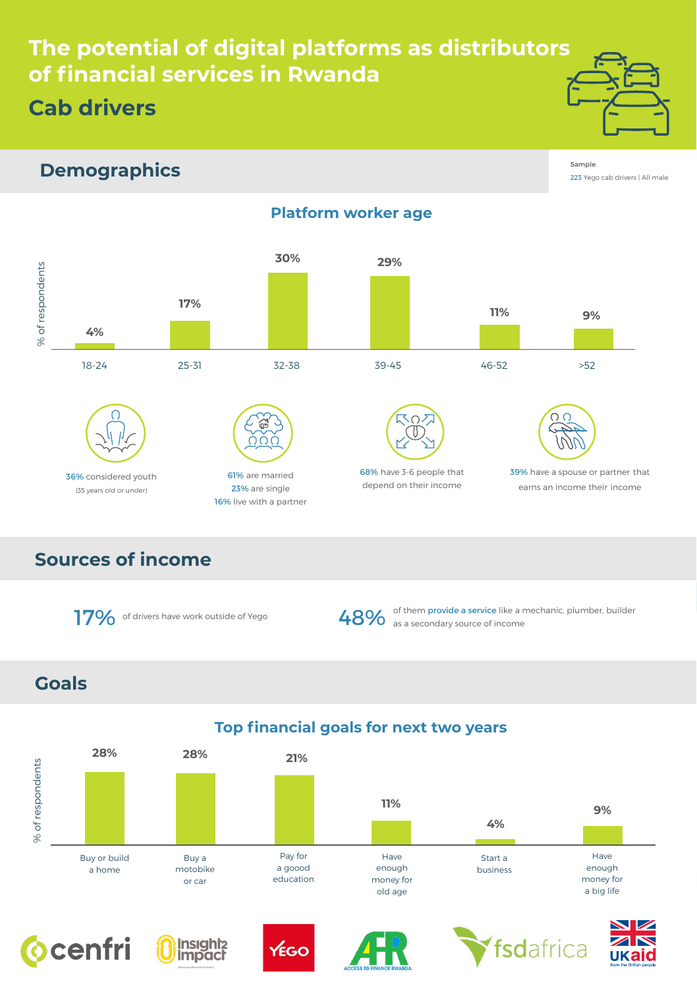## **The potential of digital platforms as distributors of financial services in Rwanda Cab drivers**



#### **Demographics**

Sample: 223 Yego cab drivers | All male

#### **Platform worker age**



# 36% considered youth (35 years old or under)



61% are married 23% are single 16% live with a partner



68% have 3-6 people that depend on their income

39% have a spouse or partner that earns an income their income

### **Sources of income**





17% of drivers have work outside of Yego **48%** of them provide a service like a mechanic, plumber, builder

#### **Goals**